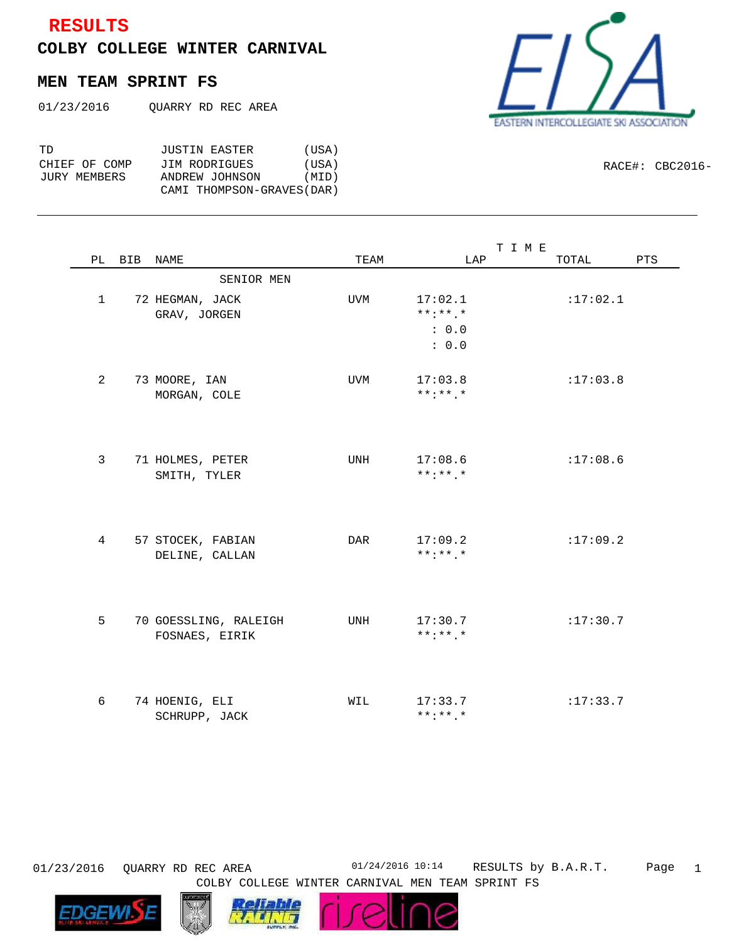## **RESULTS**

**COLBY COLLEGE WINTER CARNIVAL**

## **MEN TEAM SPRINT FS**

| 01/23/2016 | OUARRY RD REC AREA |  |  |  |
|------------|--------------------|--|--|--|
|------------|--------------------|--|--|--|

| TD.           | JUSTIN EASTER              | (USA) |
|---------------|----------------------------|-------|
| CHIEF OF COMP | JIM RODRIGUES              | (USA) |
| JURY MEMBERS  | ANDREW JOHNSON             | (MID) |
|               | CAMI THOMPSON-GRAVES (DAR) |       |

| TERN INTERCOLLEGIATE SKI ASSOCIATION<br><b>FAS</b> |  |
|----------------------------------------------------|--|

RACE#: CBC2016-

|                |                       |            | T I M E         |          |     |
|----------------|-----------------------|------------|-----------------|----------|-----|
| PL             | BIB NAME              | TEAM       | LAP             | TOTAL    | PTS |
|                | SENIOR MEN            |            |                 |          |     |
| $\mathbf{1}$   | 72 HEGMAN, JACK       | UVM        | 17:02.1         | :17:02.1 |     |
|                | GRAV, JORGEN          |            | $***.*.*$       |          |     |
|                |                       |            | : 0.0           |          |     |
|                |                       |            | : 0.0           |          |     |
|                |                       |            |                 |          |     |
| $\overline{2}$ | 73 MOORE, IAN         | <b>UVM</b> | 17:03.8         | :17:03.8 |     |
|                | MORGAN, COLE          |            | $***$ : * * . * |          |     |
|                |                       |            |                 |          |     |
|                |                       |            |                 |          |     |
|                |                       |            |                 |          |     |
| 3              | 71 HOLMES, PETER      | UNH        | 17:08.6         | :17:08.6 |     |
|                | SMITH, TYLER          |            | $***$ : * * . * |          |     |
|                |                       |            |                 |          |     |
|                |                       |            |                 |          |     |
|                |                       |            |                 |          |     |
| $\overline{4}$ | 57 STOCEK, FABIAN     | <b>DAR</b> | 17:09.2         | :17:09.2 |     |
|                | DELINE, CALLAN        |            | $***$ : * * . * |          |     |
|                |                       |            |                 |          |     |
|                |                       |            |                 |          |     |
|                |                       |            |                 |          |     |
| 5              | 70 GOESSLING, RALEIGH | UNH        | 17:30.7         | :17:30.7 |     |
|                | FOSNAES, EIRIK        |            | $***$ : ** . *  |          |     |
|                |                       |            |                 |          |     |
|                |                       |            |                 |          |     |
|                |                       |            |                 |          |     |
| 6              | 74 HOENIG, ELI        | WIL        | 17:33.7         | :17:33.7 |     |
|                | SCHRUPP, JACK         |            | $***$ : * * . * |          |     |

Page 1 01/23/2016 QUARRY RD REC AREA 01/24/2016 10:14 RESULTS by B.A.R.T.





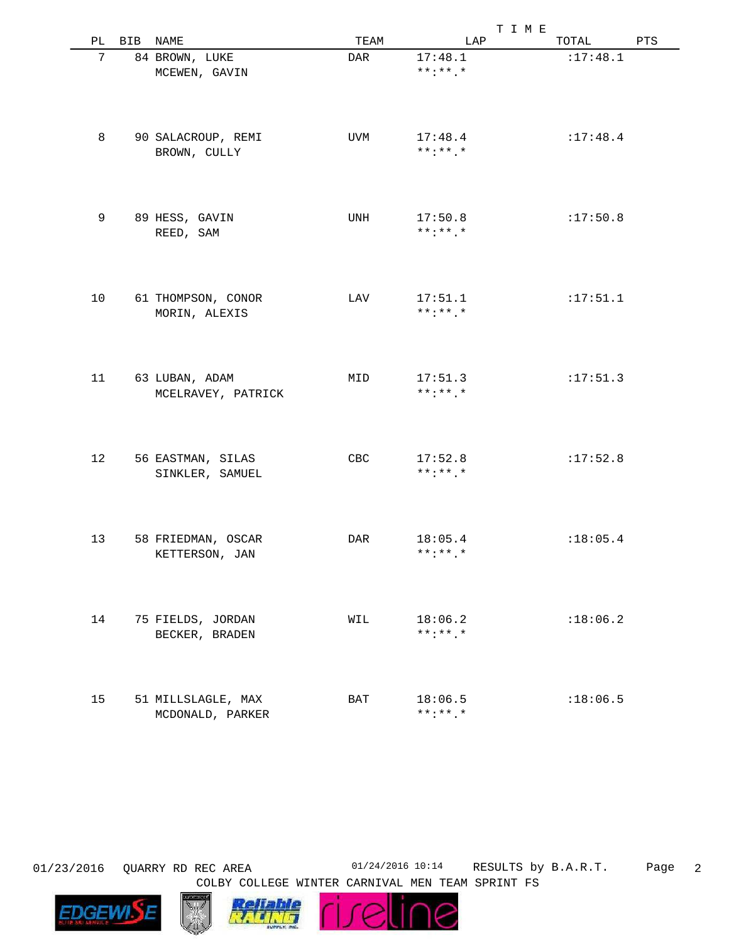|                            |     |                                      |            | T I M E                    |           |     |
|----------------------------|-----|--------------------------------------|------------|----------------------------|-----------|-----|
| $\mathop{\rm PL}\nolimits$ | BIB | NAME                                 | TEAM       | LAP                        | TOTAL     | PTS |
| 7                          |     | 84 BROWN, LUKE                       | <b>DAR</b> | 17:48.1                    | :17:48.1  |     |
|                            |     | MCEWEN, GAVIN                        |            | $***$ : ** . *             |           |     |
|                            |     |                                      |            |                            |           |     |
|                            |     |                                      |            |                            |           |     |
|                            |     |                                      |            |                            |           |     |
| 8                          |     | 90 SALACROUP, REMI                   | <b>UVM</b> | 17:48.4                    | : 17:48.4 |     |
|                            |     | BROWN, CULLY                         |            | $***$ : * * . *            |           |     |
|                            |     |                                      |            |                            |           |     |
|                            |     |                                      |            |                            |           |     |
| 9                          |     | 89 HESS, GAVIN                       | UNH        | 17:50.8                    | :17:50.8  |     |
|                            |     | REED, SAM                            |            | $***$ : ** . *             |           |     |
|                            |     |                                      |            |                            |           |     |
|                            |     |                                      |            |                            |           |     |
| 10                         |     | 61 THOMPSON, CONOR                   | LAV        | 17:51.1                    | :17:51.1  |     |
|                            |     | MORIN, ALEXIS                        |            | $***$ : ** . *             |           |     |
|                            |     |                                      |            |                            |           |     |
|                            |     |                                      |            |                            |           |     |
| 11                         |     | 63 LUBAN, ADAM                       | MID        | 17:51.3<br>$***$ : * * . * | :17:51.3  |     |
|                            |     | MCELRAVEY, PATRICK                   |            |                            |           |     |
|                            |     |                                      |            |                            |           |     |
|                            |     |                                      |            |                            |           |     |
| 12                         |     | 56 EASTMAN, SILAS                    | CBC        | 17:52.8<br>$***$ : ** . *  | :17:52.8  |     |
|                            |     | SINKLER, SAMUEL                      |            |                            |           |     |
|                            |     |                                      |            |                            |           |     |
|                            |     |                                      |            |                            |           |     |
| 13                         |     | 58 FRIEDMAN, OSCAR<br>KETTERSON, JAN | <b>DAR</b> | 18:05.4<br>$***$ : ** . *  | : 18:05.4 |     |
|                            |     |                                      |            |                            |           |     |
|                            |     |                                      |            |                            |           |     |
| 14                         |     | 75 FIELDS, JORDAN                    | WIL        | 18:06.2                    | :18:06.2  |     |
|                            |     | BECKER, BRADEN                       |            | $***$ : ** . *             |           |     |
|                            |     |                                      |            |                            |           |     |
|                            |     |                                      |            |                            |           |     |
| 15                         |     | 51 MILLSLAGLE, MAX                   | BAT        | 18:06.5                    | :18:06.5  |     |
|                            |     | MCDONALD, PARKER                     |            | $***$ : * * . *            |           |     |

**EDGEWI** 

Page 2 01/23/2016 QUARRY RD REC AREA 01/24/2016 10:14 RESULTS by B.A.R.T.



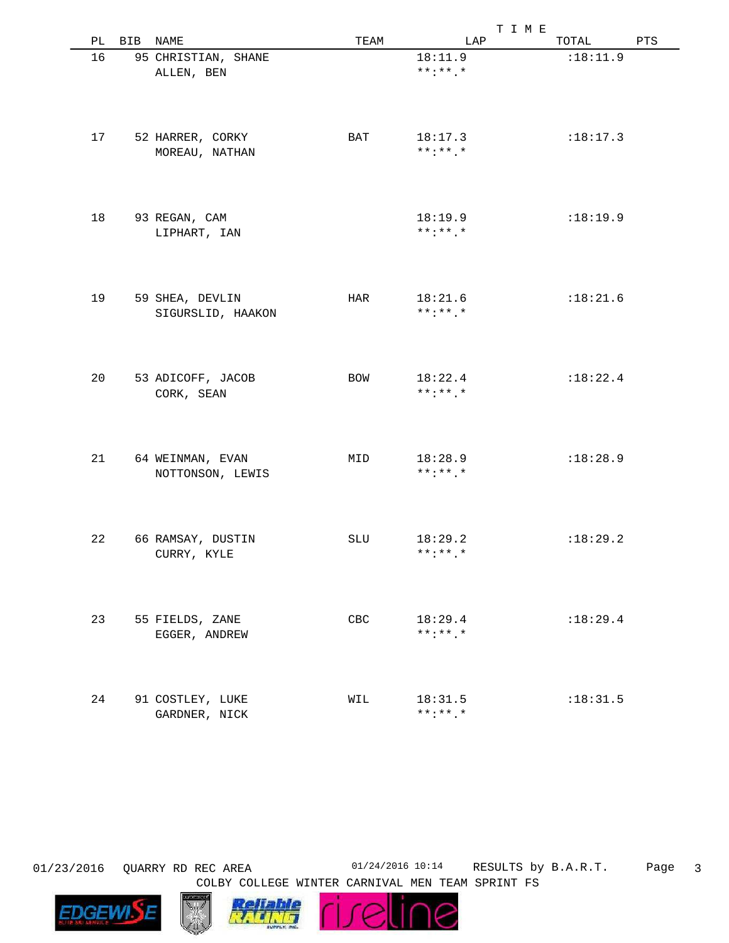|    |     |                     |      | T I M E         |            |     |
|----|-----|---------------------|------|-----------------|------------|-----|
| РL | BIB | NAME                | TEAM | LAP             | TOTAL      | PTS |
| 16 |     | 95 CHRISTIAN, SHANE |      | 18:11.9         | :18:11.9   |     |
|    |     |                     |      | $***$ : * * . * |            |     |
|    |     | ALLEN, BEN          |      |                 |            |     |
|    |     |                     |      |                 |            |     |
|    |     |                     |      |                 |            |     |
|    |     |                     |      |                 |            |     |
|    |     |                     |      |                 |            |     |
| 17 |     | 52 HARRER, CORKY    | BAT  | 18:17.3         | :18:17.3   |     |
|    |     | MOREAU, NATHAN      |      | $***$ : * * . * |            |     |
|    |     |                     |      |                 |            |     |
|    |     |                     |      |                 |            |     |
|    |     |                     |      |                 |            |     |
|    |     |                     |      |                 |            |     |
| 18 |     | 93 REGAN, CAM       |      | 18:19.9         | :18:19.9   |     |
|    |     | LIPHART, IAN        |      | $***$ : * * . * |            |     |
|    |     |                     |      |                 |            |     |
|    |     |                     |      |                 |            |     |
|    |     |                     |      |                 |            |     |
|    |     |                     |      |                 |            |     |
| 19 |     | 59 SHEA, DEVLIN     | HAR  | 18:21.6         | :18:21.6   |     |
|    |     | SIGURSLID, HAAKON   |      | $***$ : * * . * |            |     |
|    |     |                     |      |                 |            |     |
|    |     |                     |      |                 |            |     |
|    |     |                     |      |                 |            |     |
|    |     |                     |      |                 |            |     |
| 20 |     | 53 ADICOFF, JACOB   | BOW  | 18:22.4         | :18:22.4   |     |
|    |     | CORK, SEAN          |      | $***$ : * * . * |            |     |
|    |     |                     |      |                 |            |     |
|    |     |                     |      |                 |            |     |
|    |     |                     |      |                 |            |     |
|    |     |                     |      |                 |            |     |
| 21 |     | 64 WEINMAN, EVAN    | MID  | 18:28.9         | :18:28.9   |     |
|    |     |                     |      | $***$ : * * . * |            |     |
|    |     | NOTTONSON, LEWIS    |      |                 |            |     |
|    |     |                     |      |                 |            |     |
|    |     |                     |      |                 |            |     |
|    |     |                     |      |                 |            |     |
|    |     |                     |      |                 |            |     |
| 22 |     | 66 RAMSAY, DUSTIN   | SLU  | 18:29.2         | :18:29.2   |     |
|    |     | CURRY, KYLE         |      | $***:***$ *     |            |     |
|    |     |                     |      |                 |            |     |
|    |     |                     |      |                 |            |     |
|    |     |                     |      |                 |            |     |
|    |     |                     |      |                 |            |     |
| 23 |     | 55 FIELDS, ZANE     | CBC  | 18:29.4         | :18:29.4   |     |
|    |     | EGGER, ANDREW       |      | $***$ : * * . * |            |     |
|    |     |                     |      |                 |            |     |
|    |     |                     |      |                 |            |     |
|    |     |                     |      |                 |            |     |
|    |     |                     |      |                 |            |     |
| 24 |     | 91 COSTLEY, LUKE    | WIL  | 18:31.5         | : 18: 31.5 |     |
|    |     | GARDNER, NICK       |      | $***$ :**.*     |            |     |
|    |     |                     |      |                 |            |     |

Page 3 01/23/2016 QUARRY RD REC AREA 01/24/2016 10:14 RESULTS by B.A.R.T.





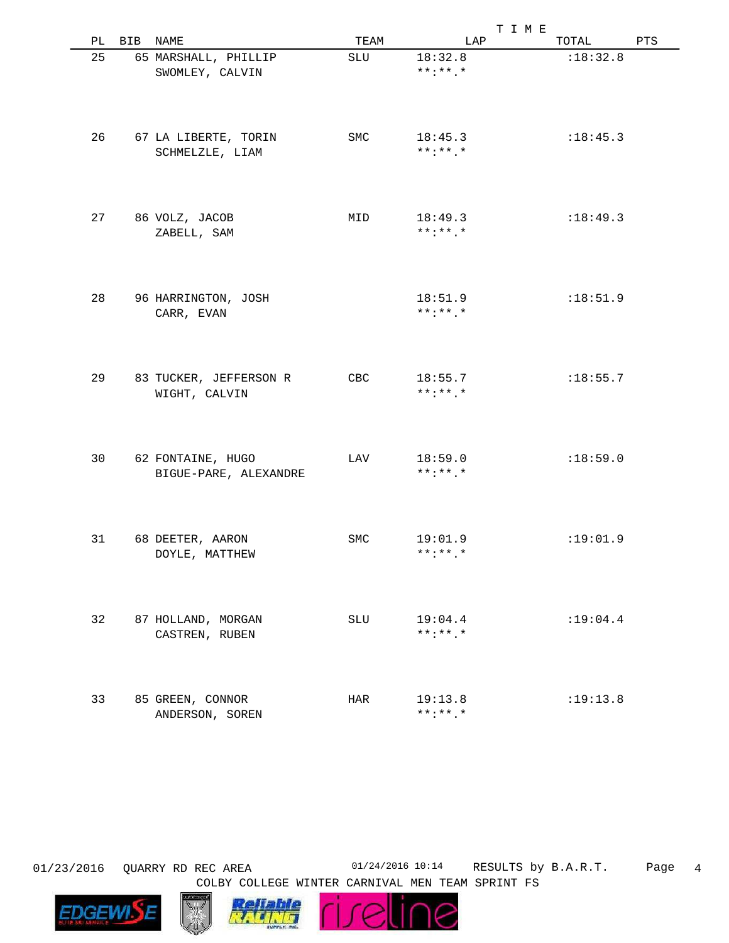|    |     |                                            |      | T I M E                    |           |     |
|----|-----|--------------------------------------------|------|----------------------------|-----------|-----|
| РL | BIB | NAME                                       | TEAM | LAP                        | TOTAL     | PTS |
| 25 |     | 65 MARSHALL, PHILLIP<br>SWOMLEY, CALVIN    | SLU  | 18:32.8<br>$***$ : * * . * | :18:32.8  |     |
|    |     |                                            |      |                            |           |     |
| 26 |     | 67 LA LIBERTE, TORIN<br>SCHMELZLE, LIAM    | SMC  | 18:45.3<br>$***$ : * * . * | :18:45.3  |     |
| 27 |     | 86 VOLZ, JACOB<br>ZABELL, SAM              | MID  | 18:49.3<br>$***$ : * * . * | :18:49.3  |     |
|    |     |                                            |      |                            |           |     |
| 28 |     | 96 HARRINGTON, JOSH<br>CARR, EVAN          |      | 18:51.9<br>$***$ : * * . * | :18:51.9  |     |
| 29 |     | 83 TUCKER, JEFFERSON R                     | CBC  | 18:55.7                    | :18:55.7  |     |
|    |     | WIGHT, CALVIN                              |      | $***$ : * * . *            |           |     |
| 30 |     | 62 FONTAINE, HUGO<br>BIGUE-PARE, ALEXANDRE | LAV  | 18:59.0<br>$***$ : * * . * | :18:59.0  |     |
|    |     |                                            |      |                            |           |     |
| 31 |     | 68 DEETER, AARON<br>DOYLE, MATTHEW         | SMC  | 19:01.9<br>$***:***$ *     | :19:01.9  |     |
|    |     |                                            |      |                            |           |     |
| 32 |     | 87 HOLLAND, MORGAN<br>CASTREN, RUBEN       | SLU  | 19:04.4<br>$***$ :**.*     | : 19:04.4 |     |
| 33 |     | 85 GREEN, CONNOR                           | HAR  | 19:13.8                    | :19:13.8  |     |
|    |     | ANDERSON, SOREN                            |      | $***$ : * * . *            |           |     |

Page 4 01/23/2016 QUARRY RD REC AREA 01/24/2016 10:14 RESULTS by B.A.R.T.